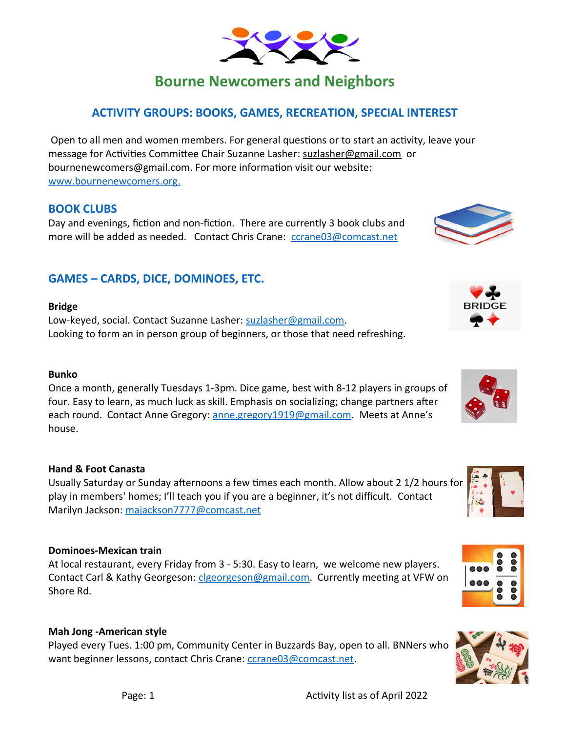# **Bourne Newcomers and Neighbors**

# **ACTIVITY GROUPS: BOOKS, GAMES, RECREATION, SPECIAL INTEREST**

 Open to all men and women members. For general questions or to start an activity, leave your message for Activities Committee Chair Suzanne Lasher: [suzlasher@gmail.com](mailto:suzlasher@gmail.com) or [bournenewcomers@gmail.com.](mailto:bournenewcomers@gmail.com) For more information visit our website:  [www.bournenewcomers.org](http://www.bournenewcomers.org/) .

# **BOOK CLUBS**

Day and evenings, fiction and non-fiction. There are currently 3 book clubs and more will be added as needed. Contact Chris Crane: [ccrane03@comcast.net](mailto:ccrane03@comcast.net)

# **GAMES – CARDS, DICE, DOMINOES, ETC.**

## **Bridge**

Low-keyed, social. Contact Suzanne Lasher: [suzlasher@gmail.com.](mailto:suzlasher@gmail.com) Looking to form an in person group of beginners, or those that need refreshing.

#### **Bunko**

Once a month, generally Tuesdays 1-3pm. Dice game, best with 8-12 players in groups of four. Easy to learn, as much luck as skill. Emphasis on socializing; change partners after each round. Contact Anne Gregory: [anne.gregory1919@gmail.com](mailto:anne.gregory1919@gmail.com). Meets at Anne's house.

# **Hand & Foot Canasta**

Usually Saturday or Sunday afternoons a few times each month. Allow about 2 1/2 hours for play in members' homes; I'll teach you if you are a beginner, it's not difficult. Contact Marilyn Jackson: [majackson7777@comcast.net](mailto:majackson7777@comcast.net)

#### **Dominoes-Mexican train**

At local restaurant, every Friday from 3 - 5:30. Easy to learn, we welcome new players. Contact Carl & Kathy Georgeson: [clgeorgeson@gmail.com](mailto:clgeorgeson@gmail.com). Currently meeting at VFW on Shore Rd.

#### **Mah Jong -American style**

Played every Tues. 1:00 pm, Community Center in Buzzards Bay, open to all. BNNers who want beginner lessons, contact Chris Crane: [ccrane03@comcast.net](mailto:ccrane03@comcast.net).













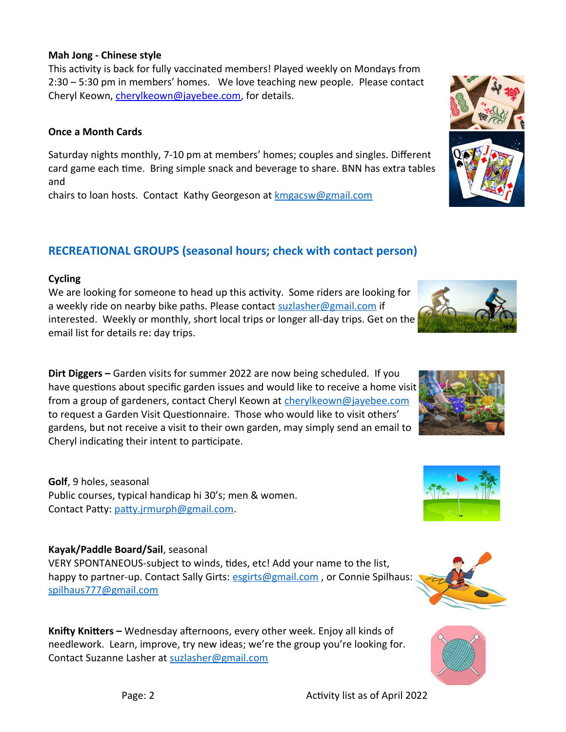#### **Mah Jong - Chinese style**

This activity is back for fully vaccinated members! Played weekly on Mondays from 2:30 – 5:30 pm in members' homes. We love teaching new people. Please contact Cheryl Keown, [cherylkeown@jayebee.com,](mailto:cherylkeown@jayebee.com) for details.

#### **Once a Month Cards**

Saturday nights monthly, 7-10 pm at members' homes; couples and singles. Different card game each time. Bring simple snack and beverage to share. BNN has extra tables and

chairs to loan hosts. Contact Kathy Georgeson at **kmgacsw@gmail.com** 

# **RECREATIONAL GROUPS (seasonal hours; check with contact person)**

## **Cycling**

We are looking for someone to head up this activity. Some riders are looking for a weekly ride on nearby bike paths. Please contact [suzlasher@gmail.com](mailto:suzlasher@gmail.com) if interested. Weekly or monthly, short local trips or longer all-day trips. Get on the email list for details re: day trips.

**Dirt Diggers –** Garden visits for summer 2022 are now being scheduled. If you have questions about specific garden issues and would like to receive a home visit from a group of gardeners, contact Cheryl Keown at [cherylkeown@jayebee.com](mailto:cherylkeown@jayebee.com) to request a Garden Visit Questionnaire. Those who would like to visit others' gardens, but not receive a visit to their own garden, may simply send an email to Cheryl indicating their intent to participate.

**Golf**, 9 holes, seasonal Public courses, typical handicap hi 30's; men & women. Contact Patty: [patty.jrmurph@gmail.com](mailto:patty.jrmurph@gmail.com).

# **Kayak/Paddle Board/Sail**, seasonal

VERY SPONTANEOUS-subject to winds, tides, etc! Add your name to the list, happy to partner-up. Contact Sally Girts: esgirts@gmail.com, or Connie Spilhaus: [spilhaus777@gmail.com](mailto:spilhaus777@gmail.com)

**Knifty Knitters –** Wednesday afternoons, every other week. Enjoy all kinds of needlework. Learn, improve, try new ideas; we're the group you're looking for. Contact Suzanne Lasher at [suzlasher@gmail.com](mailto:suzlasher@gmail.com)









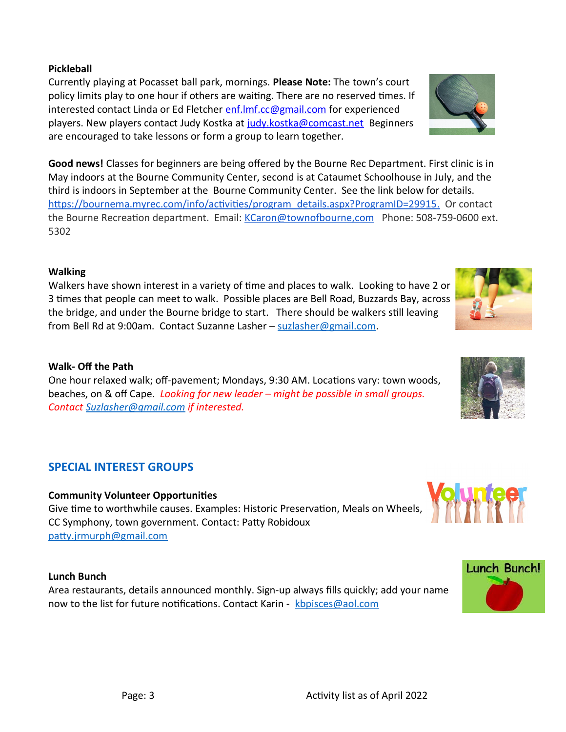# **Pickleball**

Currently playing at Pocasset ball park, mornings. **Please Note:** The town's court policy limits play to one hour if others are waiting. There are no reserved times. If interested contact Linda or Ed Fletcher enf. Imf.cc@gmail.com for experienced players. New players contact Judy Kostka at [judy.kostka@comcast.net](mailto:judy.kostka@comcast.net) Beginners are encouraged to take lessons or form a group to learn together.

**Good news!** Classes for beginners are being offered by the Bourne Rec Department. First clinic is in May indoors at the Bourne Community Center, second is at Cataumet Schoolhouse in July, and the third is indoors in September at the Bourne Community Center. See the link below for details. https://bournema.myrec.com/info/activities/program\_details.aspx?ProgramID=29915. Or contact the Bourne Recreation department. Email: [KCaron@townofbourne,com](about:blank) Phone: 508-759-0600 ext. 5302

## **Walking**

Walkers have shown interest in a variety of time and places to walk. Looking to have 2 or 3 times that people can meet to walk. Possible places are Bell Road, Buzzards Bay, across the bridge, and under the Bourne bridge to start. There should be walkers still leaving from Bell Rd at 9:00am. Contact Suzanne Lasher – [suzlasher@gmail.com](mailto:suzlasher@gmail.com).

#### **Walk- Off the Path**

One hour relaxed walk; off-pavement; Mondays, 9:30 AM. Locations vary: town woods, beaches, on & off Cape. *Looking for new leader* – *might be possible in small groups. Contact [Suzlasher@gmail.com](mailto:Suzlasher@gmail.com) if interested.*

# **SPECIAL INTEREST GROUPS**

#### **Community Volunteer Opportunities**

Give time to worthwhile causes. Examples: Historic Preservation, Meals on Wheels, CC Symphony, town government. Contact: Patty Robidoux [patty.jrmurph@gmail.com](mailto:patty.jrmurph@gmail.com)

#### **Lunch Bunch**

Area restaurants, details announced monthly. Sign-up always fills quickly; add your name now to the list for future notifications. Contact Karin - [kbpisces@aol.com](mailto:kbpisces@aol.com)